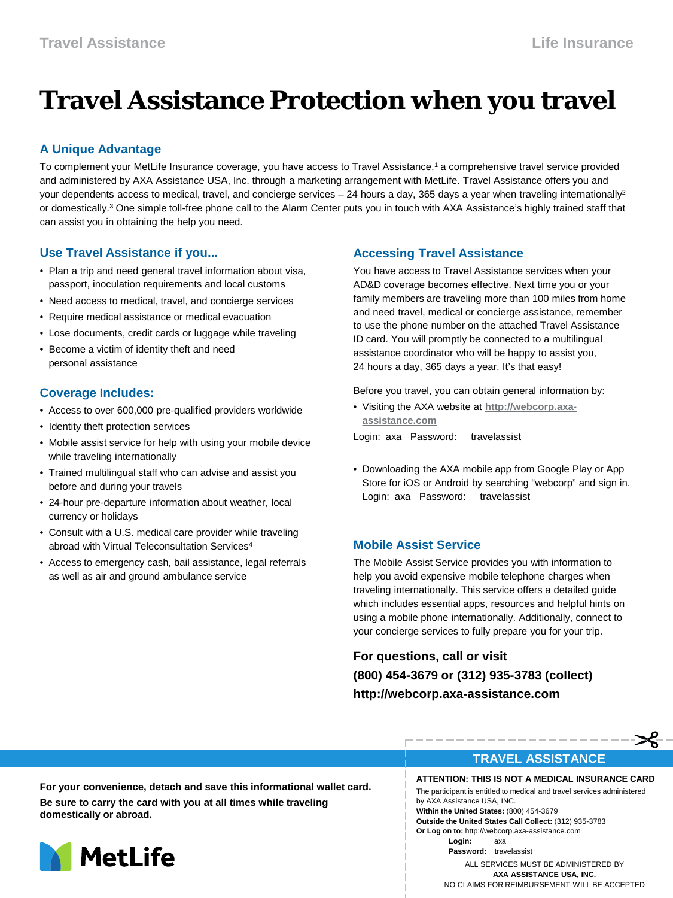# **Travel Assistance Protection when you travel**

# **A Unique Advantage**

To complement your MetLife Insurance coverage, you have access to Travel Assistance,1 a comprehensive travel service provided and administered by AXA Assistance USA, Inc. through a marketing arrangement with MetLife. Travel Assistance offers you and your dependents access to medical, travel, and concierge services – 24 hours a day, 365 days a year when traveling internationally2 or domestically.<sup>3</sup> One simple toll-free phone call to the Alarm Center puts you in touch with AXA Assistance's highly trained staff that can assist you in obtaining the help you need.

#### **Use Travel Assistance if you...**

- Plan a trip and need general travel information about visa, passport, inoculation requirements and local customs
- Need access to medical, travel, and concierge services
- Require medical assistance or medical evacuation
- Lose documents, credit cards or luggage while traveling
- Become a victim of identity theft and need personal assistance

## **Coverage Includes:**

- Access to over 600,000 pre-qualified providers worldwide
- Identity theft protection services
- Mobile assist service for help with using your mobile device while traveling internationally
- Trained multilingual staff who can advise and assist you before and during your travels
- 24-hour pre-departure information about weather, local currency or holidays
- Consult with a U.S. medical care provider while traveling abroad with Virtual Teleconsultation Services<sup>4</sup>
- Access to emergency cash, bail assistance, legal referrals as well as air and ground ambulance service

#### **Accessing Travel Assistance**

You have access to Travel Assistance services when your AD&D coverage becomes effective. Next time you or your family members are traveling more than 100 miles from home and need travel, medical or concierge assistance, remember to use the phone number on the attached Travel Assistance ID card. You will promptly be connected to a multilingual assistance coordinator who will be happy to assist you, 24 hours a day, 365 days a year. It's that easy!

Before you travel, you can obtain general information by:

- Visiting the AXA website at **[http://webcorp.axa](http://webcorp.axa-assistance.com/)[assistance.com](http://webcorp.axa-assistance.com/)**
- Login: axa Password: travelassist
- Downloading the AXA mobile app from Google Play or App Store for iOS or Android by searching "webcorp" and sign in. Login: axa Password: travelassist

#### **Mobile Assist Service**

The Mobile Assist Service provides you with information to help you avoid expensive mobile telephone charges when traveling internationally. This service offers a detailed guide which includes essential apps, resources and helpful hints on using a mobile phone internationally. Additionally, connect to your concierge services to fully prepare you for your trip.

**For questions, call or visit (800) 454-3679 or (312) 935-3783 (collect) http://webcorp.axa-assistance.com**

#### **TRAVEL ASSISTANCE**

**ATTENTION: THIS IS NOT A MEDICAL INSURANCE CARD** The participant is entitled to medical and travel services administered

by AXA Assistance USA, INC. **Within the United States:** (800) 454-3679 **Outside the United States Call Collect:** (312) 935-3783 **Or Log on to:** http://webcorp.axa-assistance.com

 **Login:** axa  **Password:** travelassist

ALL SERVICES MUST BE ADMINISTERED BY **AXA ASSISTANCE USA, INC.** NO CLAIMS FOR REIMBURSEMENT WILL BE ACCEPTED

**For your convenience, detach and save this informational wallet card. Be sure to carry the card with you at all times while traveling domestically or abroad.**